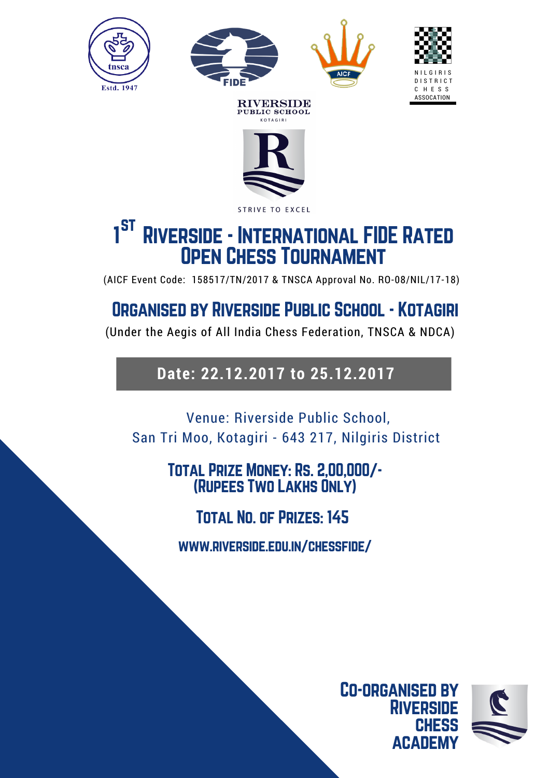







**RIVERSIDE** PUBLIC SCHOOL

### STRIVE TO EXCEL st1<sup>3</sup> RIVERSIDE - INTERNATIONAL FIDE RATED Open Chess Tournament

(AICF Event Code: 158517/TN/2017 & TNSCA Approval No. RO-08/NIL/17-18)

# Organised by Riverside Public School - Kotagiri

(Under the Aegis of All India Chess Federation, TNSCA & NDCA)

# **Date: 22.12.2017 to 25.12.2017**

Venue: Riverside Public School, San Tri Moo, Kotagiri - 643 217, Nilgiris District

# Total Prize Money: Rs. 2,00,000/- (Rupees Two Lakhs Only)

Total No. of Prizes: 145

www.riverside.edu.in/chessfide/

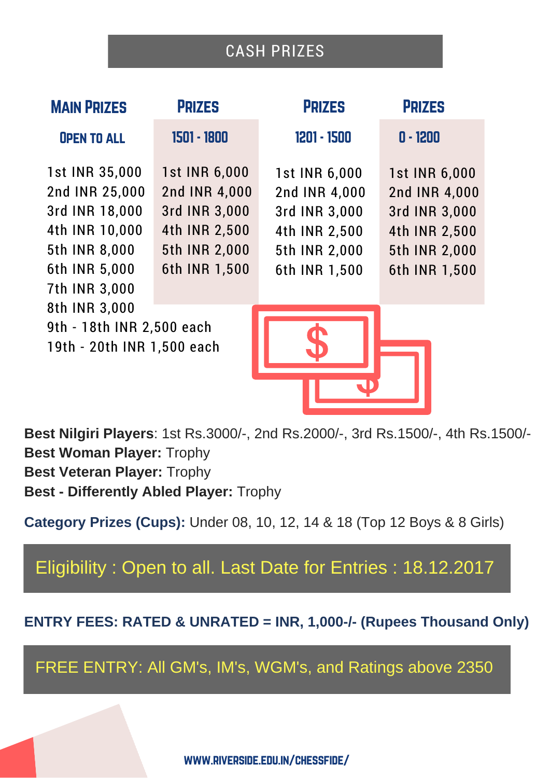# CASH PRIZES

| <b>MAIN PRIZES</b>                                                                                                      | <b>PRIZES</b>                                                                                      | <b>PRIZES</b>                                                                                      | <b>PRIZES</b>                                                                                      |
|-------------------------------------------------------------------------------------------------------------------------|----------------------------------------------------------------------------------------------------|----------------------------------------------------------------------------------------------------|----------------------------------------------------------------------------------------------------|
| <b>OPEN TO ALL</b>                                                                                                      | 1501 - 1800                                                                                        | 1201 - 1500                                                                                        | $0 - 1200$                                                                                         |
| 1st INR 35,000<br>2nd INR 25,000<br>3rd INR 18,000<br>4th INR 10,000<br>5th INR 8,000<br>6th INR 5,000<br>7th INR 3,000 | 1st INR 6,000<br>2nd INR 4,000<br>3rd INR 3,000<br>4th INR 2,500<br>5th INR 2,000<br>6th INR 1,500 | 1st INR 6,000<br>2nd INR 4,000<br>3rd INR 3,000<br>4th INR 2,500<br>5th INR 2,000<br>6th INR 1,500 | 1st INR 6,000<br>2nd INR 4,000<br>3rd INR 3,000<br>4th INR 2,500<br>5th INR 2,000<br>6th INR 1,500 |
| 8th INR 3,000<br>9th - 18th INR 2,500 each<br>19th - 20th INR 1,500 each                                                |                                                                                                    |                                                                                                    |                                                                                                    |

**Best Nilgiri Players**: 1st Rs.3000/-, 2nd Rs.2000/-, 3rd Rs.1500/-, 4th Rs.1500/- **Best Woman Player:** Trophy **Best Veteran Player:** Trophy **Best - Differently Abled Player:** Trophy

**Category Prizes (Cups):** Under 08, 10, 12, 14 & 18 (Top 12 Boys & 8 Girls)

Eligibility : Open to all. Last Date for Entries : 18.12.2017

**ENTRY FEES: RATED & UNRATED = INR, 1,000-/- (Rupees Thousand Only)**

FREE ENTRY: All GM's, IM's, WGM's, and Ratings above 2350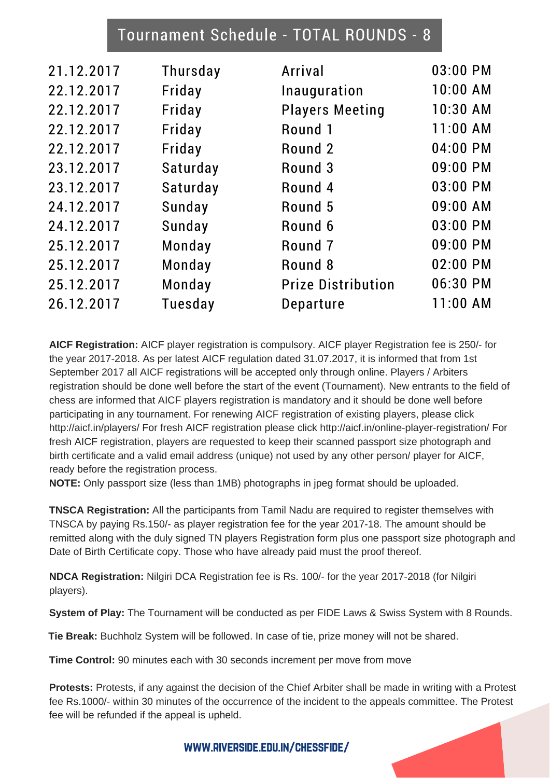## Tournament Schedule - TOTAL ROUNDS - 8

| 21.12.2017 | Thursday | Arrival                   | 03:00 PM   |
|------------|----------|---------------------------|------------|
| 22.12.2017 | Friday   | Inauguration              | 10:00 AM   |
| 22.12.2017 | Friday   | <b>Players Meeting</b>    | 10:30 AM   |
| 22.12.2017 | Friday   | Round 1                   | 11:00 AM   |
| 22.12.2017 | Friday   | Round 2                   | 04:00 PM   |
| 23.12.2017 | Saturday | Round 3                   | 09:00 PM   |
| 23.12.2017 | Saturday | Round 4                   | 03:00 PM   |
| 24.12.2017 | Sunday   | Round 5                   | 09:00 AM   |
| 24.12.2017 | Sunday   | Round 6                   | 03:00 PM   |
| 25.12.2017 | Monday   | Round <sub>7</sub>        | 09:00 PM   |
| 25.12.2017 | Monday   | Round 8                   | 02:00 PM   |
| 25.12.2017 | Monday   | <b>Prize Distribution</b> | 06:30 PM   |
| 26.12.2017 | Tuesday  | Departure                 | $11:00$ AM |
|            |          |                           |            |

**AICF Registration:** AICF player registration is compulsory. AICF player Registration fee is 250/- for the year 2017-2018. As per latest AICF regulation dated 31.07.2017, it is informed that from 1st September 2017 all AICF registrations will be accepted only through online. Players / Arbiters registration should be done well before the start of the event (Tournament). New entrants to the field of chess are informed that AICF players registration is mandatory and it should be done well before participating in any tournament. For renewing AICF registration of existing players, please click http://aicf.in/players/ For fresh AICF registration please click http://aicf.in/online-player-registration/ For fresh AICF registration, players are requested to keep their scanned passport size photograph and birth certificate and a valid email address (unique) not used by any other person/ player for AICF, ready before the registration process.

**NOTE:** Only passport size (less than 1MB) photographs in jpeg format should be uploaded.

**TNSCA Registration:** All the participants from Tamil Nadu are required to register themselves with TNSCA by paying Rs.150/- as player registration fee for the year 2017-18. The amount should be remitted along with the duly signed TN players Registration form plus one passport size photograph and Date of Birth Certificate copy. Those who have already paid must the proof thereof.

**NDCA Registration:** Nilgiri DCA Registration fee is Rs. 100/- for the year 2017-2018 (for Nilgiri players).

**System of Play:** The Tournament will be conducted as per FIDE Laws & Swiss System with 8 Rounds.

**Tie Break:** Buchholz System will be followed. In case of tie, prize money will not be shared.

**Time Control:** 90 minutes each with 30 seconds increment per move from move

**Protests:** Protests, if any against the decision of the Chief Arbiter shall be made in writing with a Protest fee Rs.1000/- within 30 minutes of the occurrence of the incident to the appeals committee. The Protest fee will be refunded if the appeal is upheld.

www.riverside.edu.in/chessfide/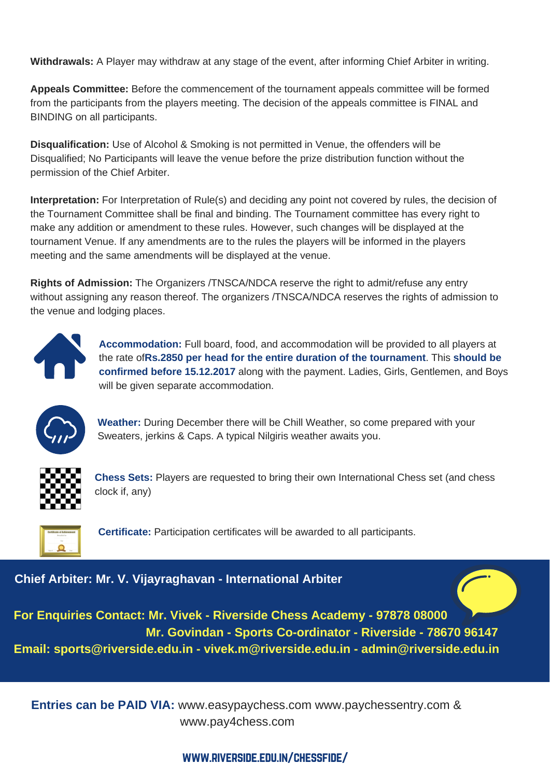**Withdrawals:** A Player may withdraw at any stage of the event, after informing Chief Arbiter in writing.

**Appeals Committee:** Before the commencement of the tournament appeals committee will be formed from the participants from the players meeting. The decision of the appeals committee is FINAL and BINDING on all participants.

**Disqualification:** Use of Alcohol & Smoking is not permitted in Venue, the offenders will be Disqualified; No Participants will leave the venue before the prize distribution function without the permission of the Chief Arbiter.

**Interpretation:** For Interpretation of Rule(s) and deciding any point not covered by rules, the decision of the Tournament Committee shall be final and binding. The Tournament committee has every right to make any addition or amendment to these rules. However, such changes will be displayed at the tournament Venue. If any amendments are to the rules the players will be informed in the players meeting and the same amendments will be displayed at the venue.

**Rights of Admission:** The Organizers /TNSCA/NDCA reserve the right to admit/refuse any entry without assigning any reason thereof. The organizers /TNSCA/NDCA reserves the rights of admission to the venue and lodging places.



**Accommodation:** Full board, food, and accommodation will be provided to all players at the rate of**Rs.2850 per head for the entire duration of the tournament**. This **should be confirmed before 15.12.2017** along with the payment. Ladies, Girls, Gentlemen, and Boys will be given separate accommodation.



**Weather:** During December there will be Chill Weather, so come prepared with your Sweaters, jerkins & Caps. A typical Nilgiris weather awaits you.



**Chess Sets:** Players are requested to bring their own International Chess set (and chess clock if, any)



**Certificate:** Participation certificates will be awarded to all participants.

#### **Chief Arbiter: Mr. V. Vijayraghavan - International Arbiter**

**For Enquiries Contact: Mr. Vivek - Riverside Chess Academy - 97878 08000 Mr. Govindan - Sports Co-ordinator - Riverside - 78670 96147 Email: sports@riverside.edu.in - vivek.m@riverside.edu.in - admin@riverside.edu.in**

**Entries can be PAID VIA:** www.easypaychess.com www.paychessentry.com & www.pay4chess.com

#### www.riverside.edu.in/chessfide/